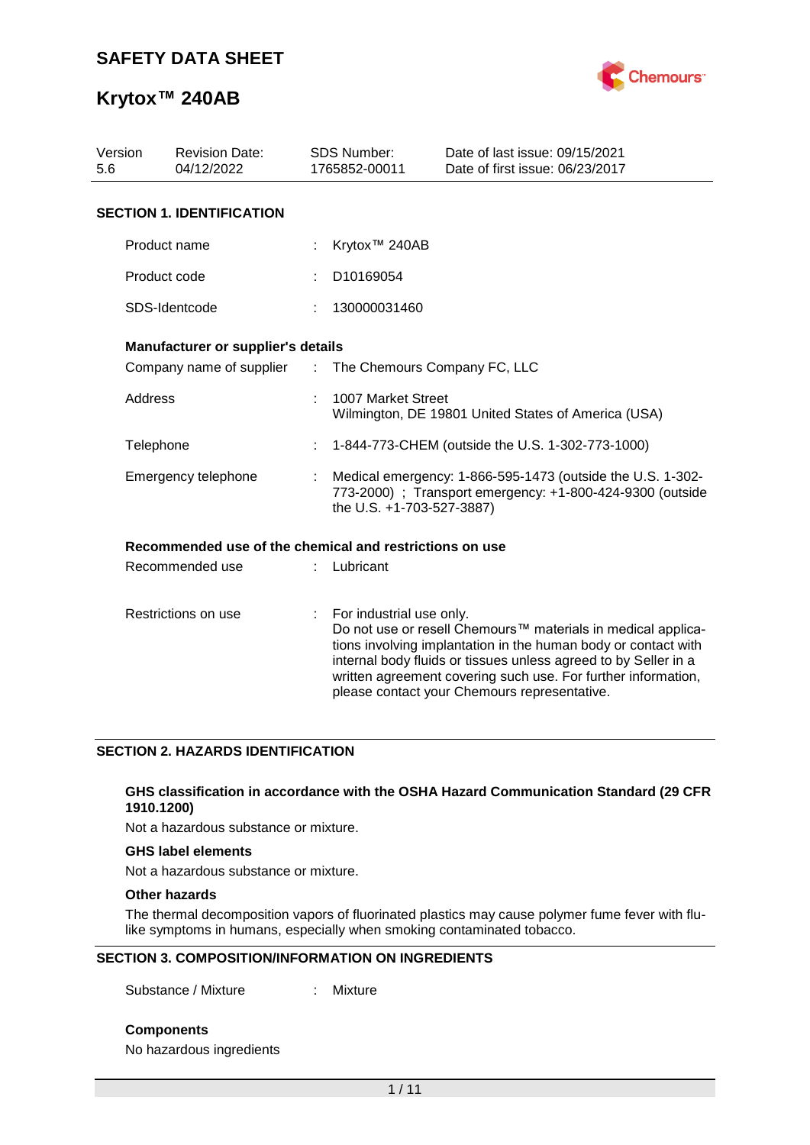

| Version<br><b>Revision Date:</b><br>5.6<br>04/12/2022 |                                                         |   | <b>SDS Number:</b><br>1765852-00011                                                                                                                  | Date of last issue: 09/15/2021<br>Date of first issue: 06/23/2017                                                                                                                                                                                                                                                  |  |  |  |
|-------------------------------------------------------|---------------------------------------------------------|---|------------------------------------------------------------------------------------------------------------------------------------------------------|--------------------------------------------------------------------------------------------------------------------------------------------------------------------------------------------------------------------------------------------------------------------------------------------------------------------|--|--|--|
|                                                       | <b>SECTION 1. IDENTIFICATION</b>                        |   |                                                                                                                                                      |                                                                                                                                                                                                                                                                                                                    |  |  |  |
|                                                       | Product name                                            |   | Krytox <sup>™</sup> 240AB                                                                                                                            |                                                                                                                                                                                                                                                                                                                    |  |  |  |
|                                                       | Product code                                            |   | D10169054                                                                                                                                            |                                                                                                                                                                                                                                                                                                                    |  |  |  |
|                                                       | SDS-Identcode                                           |   | 130000031460                                                                                                                                         |                                                                                                                                                                                                                                                                                                                    |  |  |  |
|                                                       | Manufacturer or supplier's details                      |   |                                                                                                                                                      |                                                                                                                                                                                                                                                                                                                    |  |  |  |
|                                                       |                                                         |   | Company name of supplier : The Chemours Company FC, LLC                                                                                              |                                                                                                                                                                                                                                                                                                                    |  |  |  |
|                                                       | <b>Address</b>                                          |   | 1007 Market Street<br>Wilmington, DE 19801 United States of America (USA)                                                                            |                                                                                                                                                                                                                                                                                                                    |  |  |  |
|                                                       | Telephone                                               |   | 1-844-773-CHEM (outside the U.S. 1-302-773-1000)                                                                                                     |                                                                                                                                                                                                                                                                                                                    |  |  |  |
|                                                       | Emergency telephone                                     |   | Medical emergency: 1-866-595-1473 (outside the U.S. 1-302-<br>773-2000) ; Transport emergency: +1-800-424-9300 (outside<br>the U.S. +1-703-527-3887) |                                                                                                                                                                                                                                                                                                                    |  |  |  |
|                                                       | Recommended use of the chemical and restrictions on use |   |                                                                                                                                                      |                                                                                                                                                                                                                                                                                                                    |  |  |  |
|                                                       | Recommended use                                         |   | Lubricant                                                                                                                                            |                                                                                                                                                                                                                                                                                                                    |  |  |  |
| Restrictions on use                                   |                                                         | ÷ | For industrial use only.                                                                                                                             | Do not use or resell Chemours™ materials in medical applica-<br>tions involving implantation in the human body or contact with<br>internal body fluids or tissues unless agreed to by Seller in a<br>written agreement covering such use. For further information,<br>please contact your Chemours representative. |  |  |  |

### **SECTION 2. HAZARDS IDENTIFICATION**

#### **GHS classification in accordance with the OSHA Hazard Communication Standard (29 CFR 1910.1200)**

Not a hazardous substance or mixture.

#### **GHS label elements**

Not a hazardous substance or mixture.

### **Other hazards**

The thermal decomposition vapors of fluorinated plastics may cause polymer fume fever with flulike symptoms in humans, especially when smoking contaminated tobacco.

#### **SECTION 3. COMPOSITION/INFORMATION ON INGREDIENTS**

Substance / Mixture : Mixture

**Components**

No hazardous ingredients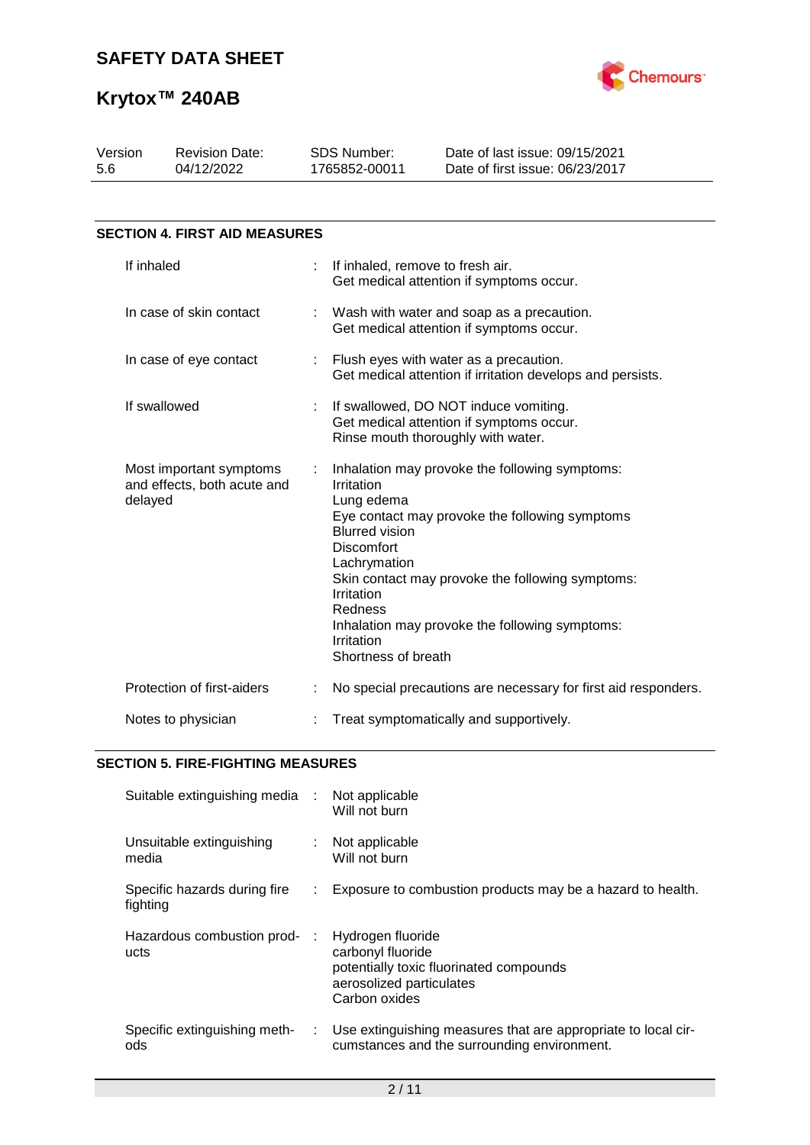

| Version<br>5.6                                                    | <b>Revision Date:</b><br>04/12/2022  |    | <b>SDS Number:</b><br>1765852-00011                                                                                                                                                                                                                                                                                                                            | Date of last issue: 09/15/2021<br>Date of first issue: 06/23/2017 |  |  |  |
|-------------------------------------------------------------------|--------------------------------------|----|----------------------------------------------------------------------------------------------------------------------------------------------------------------------------------------------------------------------------------------------------------------------------------------------------------------------------------------------------------------|-------------------------------------------------------------------|--|--|--|
|                                                                   | <b>SECTION 4. FIRST AID MEASURES</b> |    |                                                                                                                                                                                                                                                                                                                                                                |                                                                   |  |  |  |
|                                                                   | If inhaled                           |    | If inhaled, remove to fresh air.                                                                                                                                                                                                                                                                                                                               | Get medical attention if symptoms occur.                          |  |  |  |
|                                                                   | In case of skin contact              |    | Wash with water and soap as a precaution.<br>Get medical attention if symptoms occur.                                                                                                                                                                                                                                                                          |                                                                   |  |  |  |
| In case of eye contact                                            |                                      | t. | Flush eyes with water as a precaution.<br>Get medical attention if irritation develops and persists.                                                                                                                                                                                                                                                           |                                                                   |  |  |  |
| If swallowed                                                      |                                      |    | If swallowed, DO NOT induce vomiting.<br>Get medical attention if symptoms occur.<br>Rinse mouth thoroughly with water.                                                                                                                                                                                                                                        |                                                                   |  |  |  |
| Most important symptoms<br>and effects, both acute and<br>delayed |                                      | ÷  | Inhalation may provoke the following symptoms:<br>Irritation<br>Lung edema<br>Eye contact may provoke the following symptoms<br><b>Blurred vision</b><br><b>Discomfort</b><br>Lachrymation<br>Skin contact may provoke the following symptoms:<br>Irritation<br>Redness<br>Inhalation may provoke the following symptoms:<br>Irritation<br>Shortness of breath |                                                                   |  |  |  |
|                                                                   | Protection of first-aiders           |    | No special precautions are necessary for first aid responders.                                                                                                                                                                                                                                                                                                 |                                                                   |  |  |  |
| Notes to physician                                                |                                      |    | Treat symptomatically and supportively.                                                                                                                                                                                                                                                                                                                        |                                                                   |  |  |  |

### **SECTION 5. FIRE-FIGHTING MEASURES**

| Suitable extinguishing media :           |    | Not applicable<br>Will not burn                                                                                                |
|------------------------------------------|----|--------------------------------------------------------------------------------------------------------------------------------|
| Unsuitable extinguishing<br>media        |    | Not applicable<br>Will not burn                                                                                                |
| Specific hazards during fire<br>fighting | ÷. | Exposure to combustion products may be a hazard to health.                                                                     |
| Hazardous combustion prod-<br>ucts       |    | Hydrogen fluoride<br>carbonyl fluoride<br>potentially toxic fluorinated compounds<br>aerosolized particulates<br>Carbon oxides |
| Specific extinguishing meth-<br>ods      | ÷. | Use extinguishing measures that are appropriate to local cir-<br>cumstances and the surrounding environment.                   |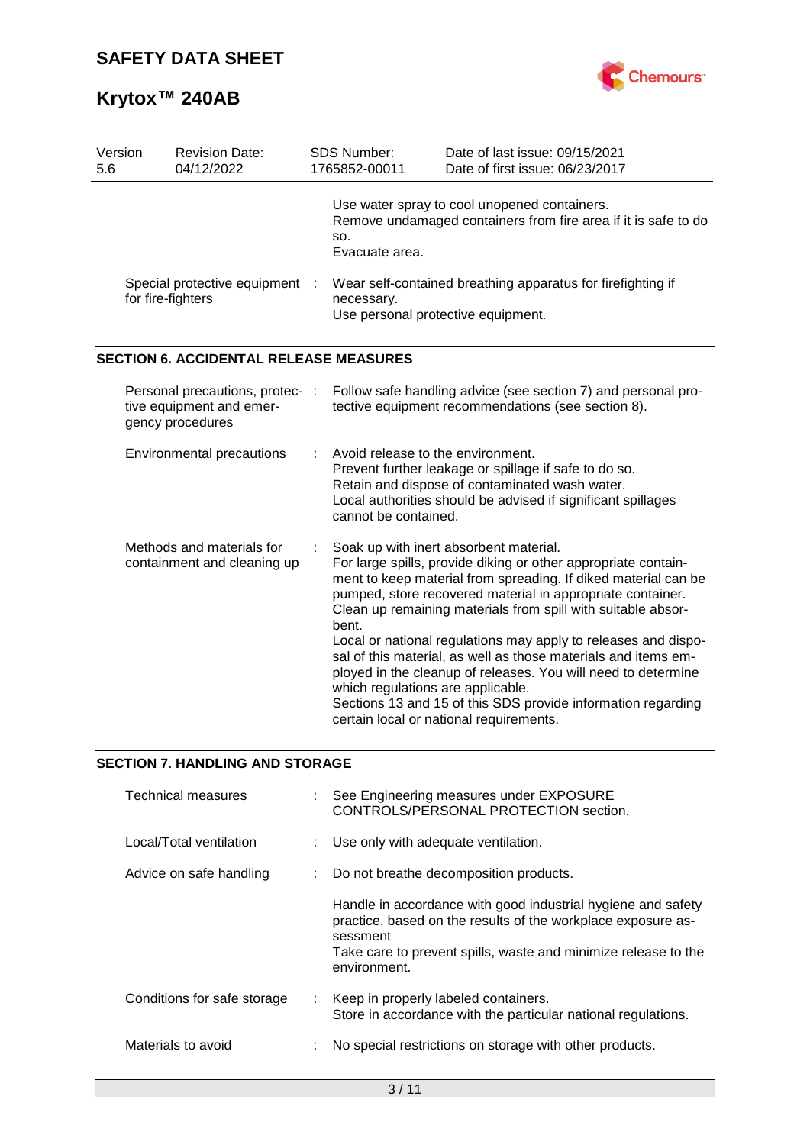

| Version<br>5.6                                           | SDS Number:<br><b>Revision Date:</b><br>04/12/2022<br>1765852-00011             |  |                                                                                                                                                                                                                                                                                                                                                                                                                                                                                                                                                                                                                                                                        | Date of last issue: 09/15/2021<br>Date of first issue: 06/23/2017                                              |  |  |  |
|----------------------------------------------------------|---------------------------------------------------------------------------------|--|------------------------------------------------------------------------------------------------------------------------------------------------------------------------------------------------------------------------------------------------------------------------------------------------------------------------------------------------------------------------------------------------------------------------------------------------------------------------------------------------------------------------------------------------------------------------------------------------------------------------------------------------------------------------|----------------------------------------------------------------------------------------------------------------|--|--|--|
|                                                          |                                                                                 |  | SO.<br>Evacuate area.                                                                                                                                                                                                                                                                                                                                                                                                                                                                                                                                                                                                                                                  | Use water spray to cool unopened containers.<br>Remove undamaged containers from fire area if it is safe to do |  |  |  |
| Special protective equipment<br>for fire-fighters        |                                                                                 |  | Wear self-contained breathing apparatus for firefighting if<br>necessary.<br>Use personal protective equipment.                                                                                                                                                                                                                                                                                                                                                                                                                                                                                                                                                        |                                                                                                                |  |  |  |
|                                                          | <b>SECTION 6. ACCIDENTAL RELEASE MEASURES</b>                                   |  |                                                                                                                                                                                                                                                                                                                                                                                                                                                                                                                                                                                                                                                                        |                                                                                                                |  |  |  |
|                                                          | Personal precautions, protec- :<br>tive equipment and emer-<br>gency procedures |  | Follow safe handling advice (see section 7) and personal pro-<br>tective equipment recommendations (see section 8).                                                                                                                                                                                                                                                                                                                                                                                                                                                                                                                                                    |                                                                                                                |  |  |  |
|                                                          | Environmental precautions                                                       |  | Avoid release to the environment.<br>Prevent further leakage or spillage if safe to do so.<br>Retain and dispose of contaminated wash water.<br>Local authorities should be advised if significant spillages<br>cannot be contained.                                                                                                                                                                                                                                                                                                                                                                                                                                   |                                                                                                                |  |  |  |
| Methods and materials for<br>containment and cleaning up |                                                                                 |  | Soak up with inert absorbent material.<br>For large spills, provide diking or other appropriate contain-<br>ment to keep material from spreading. If diked material can be<br>pumped, store recovered material in appropriate container.<br>Clean up remaining materials from spill with suitable absor-<br>bent.<br>Local or national regulations may apply to releases and dispo-<br>sal of this material, as well as those materials and items em-<br>ployed in the cleanup of releases. You will need to determine<br>which regulations are applicable.<br>Sections 13 and 15 of this SDS provide information regarding<br>certain local or national requirements. |                                                                                                                |  |  |  |

## **SECTION 7. HANDLING AND STORAGE**

| <b>Technical measures</b>   | : See Engineering measures under EXPOSURE<br>CONTROLS/PERSONAL PROTECTION section.                                                                                                                                         |
|-----------------------------|----------------------------------------------------------------------------------------------------------------------------------------------------------------------------------------------------------------------------|
| Local/Total ventilation     | : Use only with adequate ventilation.                                                                                                                                                                                      |
| Advice on safe handling     | : Do not breathe decomposition products.                                                                                                                                                                                   |
|                             | Handle in accordance with good industrial hygiene and safety<br>practice, based on the results of the workplace exposure as-<br>sessment<br>Take care to prevent spills, waste and minimize release to the<br>environment. |
| Conditions for safe storage | : Keep in properly labeled containers.<br>Store in accordance with the particular national regulations.                                                                                                                    |
| Materials to avoid          | No special restrictions on storage with other products.                                                                                                                                                                    |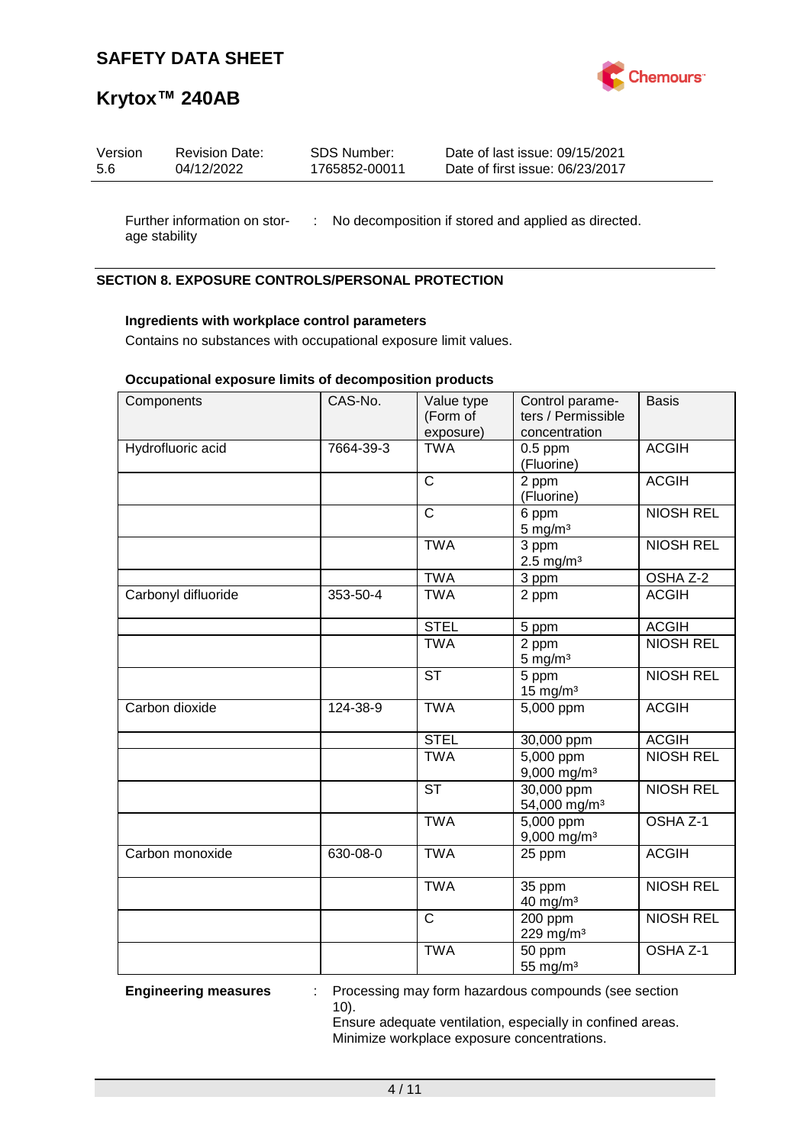

## **Krytox™ 240AB**

| Version | <b>Revision Date:</b> | SDS Number:   | Date of last issue: 09/15/2021  |
|---------|-----------------------|---------------|---------------------------------|
| 5.6     | 04/12/2022            | 1765852-00011 | Date of first issue: 06/23/2017 |
|         |                       |               |                                 |

Further information on stor- : No decomposition if stored and applied as directed. age stability

### **SECTION 8. EXPOSURE CONTROLS/PERSONAL PROTECTION**

### **Ingredients with workplace control parameters**

Contains no substances with occupational exposure limit values.

### **Occupational exposure limits of decomposition products**

| Components          | CAS-No.   | Value type<br>(Form of<br>exposure) | Control parame-<br>ters / Permissible<br>concentration | <b>Basis</b>        |
|---------------------|-----------|-------------------------------------|--------------------------------------------------------|---------------------|
| Hydrofluoric acid   | 7664-39-3 | <b>TWA</b>                          | $0.5$ ppm<br>(Fluorine)                                | <b>ACGIH</b>        |
|                     |           | $\mathsf{C}$                        | 2 ppm<br>(Fluorine)                                    | <b>ACGIH</b>        |
|                     |           | $\mathsf{C}$                        | 6 ppm<br>$5$ mg/m $3$                                  | <b>NIOSH REL</b>    |
|                     |           | <b>TWA</b>                          | $\overline{3}$ ppm<br>$2.5$ mg/m <sup>3</sup>          | <b>NIOSH REL</b>    |
|                     |           | <b>TWA</b>                          | 3 ppm                                                  | OSHA Z-2            |
| Carbonyl difluoride | 353-50-4  | <b>TWA</b>                          | 2 ppm                                                  | <b>ACGIH</b>        |
|                     |           | <b>STEL</b>                         | 5 ppm                                                  | <b>ACGIH</b>        |
|                     |           | <b>TWA</b>                          | 2 ppm<br>$5$ mg/m <sup>3</sup>                         | <b>NIOSH REL</b>    |
|                     |           | <b>ST</b>                           | 5 ppm<br>$15 \text{ mg/m}^3$                           | <b>NIOSH REL</b>    |
| Carbon dioxide      | 124-38-9  | <b>TWA</b>                          | 5,000 ppm                                              | <b>ACGIH</b>        |
|                     |           | <b>STEL</b>                         | 30,000 ppm                                             | <b>ACGIH</b>        |
|                     |           | <b>TWA</b>                          | $5,000$ ppm<br>$9,000$ mg/m <sup>3</sup>               | <b>NIOSH REL</b>    |
|                     |           | $\overline{\text{ST}}$              | 30,000 ppm<br>54,000 mg/m <sup>3</sup>                 | <b>NIOSH REL</b>    |
|                     |           | <b>TWA</b>                          | 5,000 ppm<br>9,000 mg/m <sup>3</sup>                   | OSHA <sub>Z-1</sub> |
| Carbon monoxide     | 630-08-0  | <b>TWA</b>                          | 25 ppm                                                 | <b>ACGIH</b>        |
|                     |           | <b>TWA</b>                          | 35 ppm<br>40 mg/m <sup>3</sup>                         | <b>NIOSH REL</b>    |
|                     |           | $\overline{\text{c}}$               | 200 ppm<br>229 mg/m <sup>3</sup>                       | <b>NIOSH REL</b>    |
|                     |           | <b>TWA</b>                          | 50 ppm<br>55 mg/m <sup>3</sup>                         | OSHA <sub>Z-1</sub> |

**Engineering measures** : Processing may form hazardous compounds (see section 10).

Ensure adequate ventilation, especially in confined areas. Minimize workplace exposure concentrations.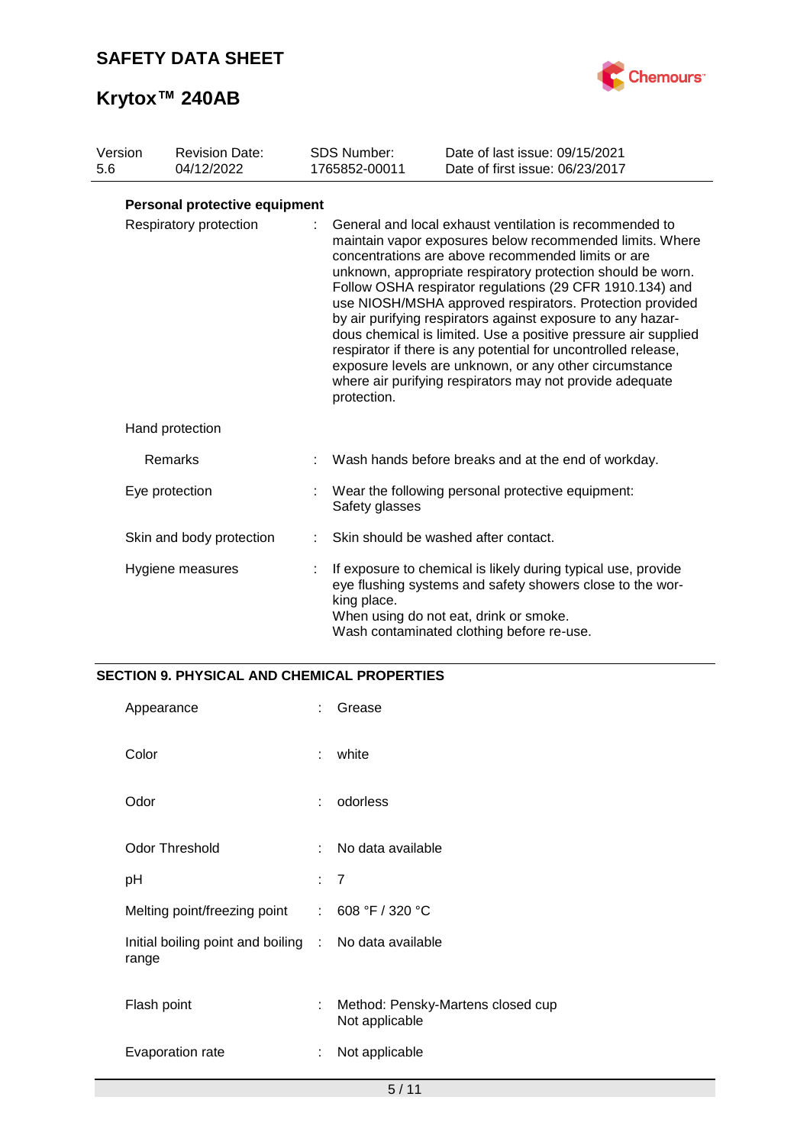

| Version<br>5.6         |  | <b>Revision Date:</b><br>04/12/2022 |                                                                                                                                                                                                                                                                                                                                                                                                                                                                                                                                                                                                                                                                                                          | <b>SDS Number:</b><br>1765852-00011 | Date of last issue: 09/15/2021<br>Date of first issue: 06/23/2017                                                                                                                                                 |  |
|------------------------|--|-------------------------------------|----------------------------------------------------------------------------------------------------------------------------------------------------------------------------------------------------------------------------------------------------------------------------------------------------------------------------------------------------------------------------------------------------------------------------------------------------------------------------------------------------------------------------------------------------------------------------------------------------------------------------------------------------------------------------------------------------------|-------------------------------------|-------------------------------------------------------------------------------------------------------------------------------------------------------------------------------------------------------------------|--|
|                        |  | Personal protective equipment       |                                                                                                                                                                                                                                                                                                                                                                                                                                                                                                                                                                                                                                                                                                          |                                     |                                                                                                                                                                                                                   |  |
| Respiratory protection |  |                                     | General and local exhaust ventilation is recommended to<br>maintain vapor exposures below recommended limits. Where<br>concentrations are above recommended limits or are<br>unknown, appropriate respiratory protection should be worn.<br>Follow OSHA respirator regulations (29 CFR 1910.134) and<br>use NIOSH/MSHA approved respirators. Protection provided<br>by air purifying respirators against exposure to any hazar-<br>dous chemical is limited. Use a positive pressure air supplied<br>respirator if there is any potential for uncontrolled release,<br>exposure levels are unknown, or any other circumstance<br>where air purifying respirators may not provide adequate<br>protection. |                                     |                                                                                                                                                                                                                   |  |
|                        |  | Hand protection                     |                                                                                                                                                                                                                                                                                                                                                                                                                                                                                                                                                                                                                                                                                                          |                                     |                                                                                                                                                                                                                   |  |
|                        |  | Remarks                             |                                                                                                                                                                                                                                                                                                                                                                                                                                                                                                                                                                                                                                                                                                          |                                     | Wash hands before breaks and at the end of workday.                                                                                                                                                               |  |
|                        |  | Eye protection                      | Wear the following personal protective equipment:<br>Safety glasses                                                                                                                                                                                                                                                                                                                                                                                                                                                                                                                                                                                                                                      |                                     |                                                                                                                                                                                                                   |  |
|                        |  | Skin and body protection            |                                                                                                                                                                                                                                                                                                                                                                                                                                                                                                                                                                                                                                                                                                          |                                     | Skin should be washed after contact.                                                                                                                                                                              |  |
|                        |  | Hygiene measures                    |                                                                                                                                                                                                                                                                                                                                                                                                                                                                                                                                                                                                                                                                                                          | king place.                         | If exposure to chemical is likely during typical use, provide<br>eye flushing systems and safety showers close to the wor-<br>When using do not eat, drink or smoke.<br>Wash contaminated clothing before re-use. |  |

## **SECTION 9. PHYSICAL AND CHEMICAL PROPERTIES**

| Appearance                                                     |    | Grease                                              |
|----------------------------------------------------------------|----|-----------------------------------------------------|
| Color                                                          | ÷  | white                                               |
| Odor                                                           | ÷  | odorless                                            |
| <b>Odor Threshold</b>                                          | ÷. | No data available                                   |
| рH                                                             |    | : 7                                                 |
| Melting point/freezing point : 608 °F / 320 °C                 |    |                                                     |
| Initial boiling point and boiling : No data available<br>range |    |                                                     |
| Flash point                                                    | ÷  | Method: Pensky-Martens closed cup<br>Not applicable |
| Evaporation rate                                               | ÷  | Not applicable                                      |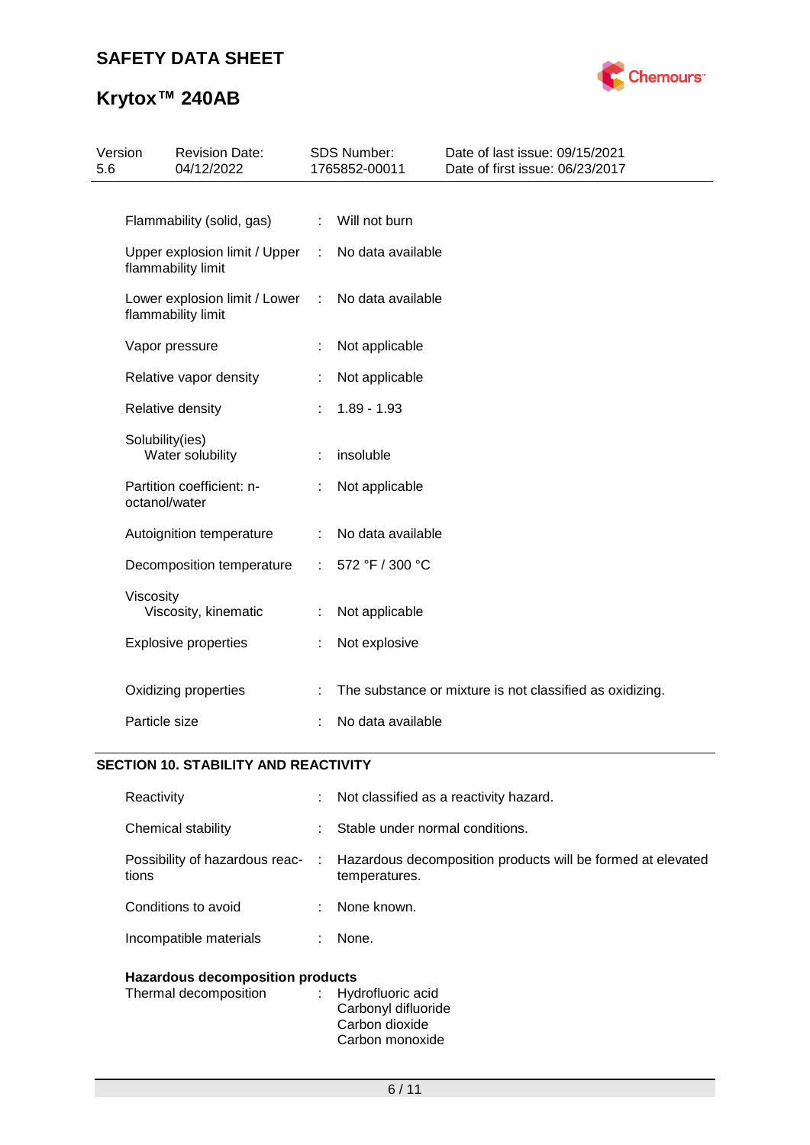

# **Krytox™ 240AB**

| Version | <b>Revision Date:</b><br>04/12/2022 |                                                                                                                                                                                                                                                                                                                                                                                                                                   |                               | Date of last issue: 09/15/2021<br>Date of first issue: 06/23/2017                                                                 |
|---------|-------------------------------------|-----------------------------------------------------------------------------------------------------------------------------------------------------------------------------------------------------------------------------------------------------------------------------------------------------------------------------------------------------------------------------------------------------------------------------------|-------------------------------|-----------------------------------------------------------------------------------------------------------------------------------|
|         |                                     |                                                                                                                                                                                                                                                                                                                                                                                                                                   |                               |                                                                                                                                   |
|         |                                     | ÷.                                                                                                                                                                                                                                                                                                                                                                                                                                |                               |                                                                                                                                   |
|         |                                     | ÷.                                                                                                                                                                                                                                                                                                                                                                                                                                |                               |                                                                                                                                   |
|         |                                     | ÷                                                                                                                                                                                                                                                                                                                                                                                                                                 |                               |                                                                                                                                   |
|         |                                     |                                                                                                                                                                                                                                                                                                                                                                                                                                   | Not applicable                |                                                                                                                                   |
|         |                                     |                                                                                                                                                                                                                                                                                                                                                                                                                                   | Not applicable                |                                                                                                                                   |
|         |                                     |                                                                                                                                                                                                                                                                                                                                                                                                                                   | $1.89 - 1.93$                 |                                                                                                                                   |
|         |                                     |                                                                                                                                                                                                                                                                                                                                                                                                                                   | insoluble                     |                                                                                                                                   |
|         |                                     |                                                                                                                                                                                                                                                                                                                                                                                                                                   | Not applicable                |                                                                                                                                   |
|         |                                     |                                                                                                                                                                                                                                                                                                                                                                                                                                   |                               |                                                                                                                                   |
|         |                                     |                                                                                                                                                                                                                                                                                                                                                                                                                                   | 572 °F / 300 °C               |                                                                                                                                   |
|         |                                     |                                                                                                                                                                                                                                                                                                                                                                                                                                   | Not applicable                |                                                                                                                                   |
|         |                                     |                                                                                                                                                                                                                                                                                                                                                                                                                                   | Not explosive                 |                                                                                                                                   |
|         |                                     |                                                                                                                                                                                                                                                                                                                                                                                                                                   |                               | The substance or mixture is not classified as oxidizing.                                                                          |
|         |                                     |                                                                                                                                                                                                                                                                                                                                                                                                                                   |                               |                                                                                                                                   |
|         |                                     | Flammability (solid, gas)<br>flammability limit<br>Lower explosion limit / Lower<br>flammability limit<br>Vapor pressure<br>Relative vapor density<br>Relative density<br>Solubility(ies)<br>Water solubility<br>Partition coefficient: n-<br>octanol/water<br>Autoignition temperature<br>Decomposition temperature<br>Viscosity<br>Viscosity, kinematic<br><b>Explosive properties</b><br>Oxidizing properties<br>Particle size | Upper explosion limit / Upper | SDS Number:<br>1765852-00011<br>Will not burn<br>No data available<br>No data available<br>No data available<br>No data available |

## **SECTION 10. STABILITY AND REACTIVITY**

| Reactivity                              | t i | Not classified as a reactivity hazard.                                       |
|-----------------------------------------|-----|------------------------------------------------------------------------------|
| Chemical stability                      | ÷.  | Stable under normal conditions.                                              |
| Possibility of hazardous reac-<br>tions | ÷.  | Hazardous decomposition products will be formed at elevated<br>temperatures. |
| Conditions to avoid                     | ÷.  | None known.                                                                  |
| Incompatible materials                  | ÷.  | None.                                                                        |
|                                         |     |                                                                              |

## **Hazardous decomposition products**

| Thermal decomposition | : Hydrofluoric acid<br>Carbonyl difluoride |
|-----------------------|--------------------------------------------|
|                       | Carbon dioxide                             |
|                       | Carbon monoxide                            |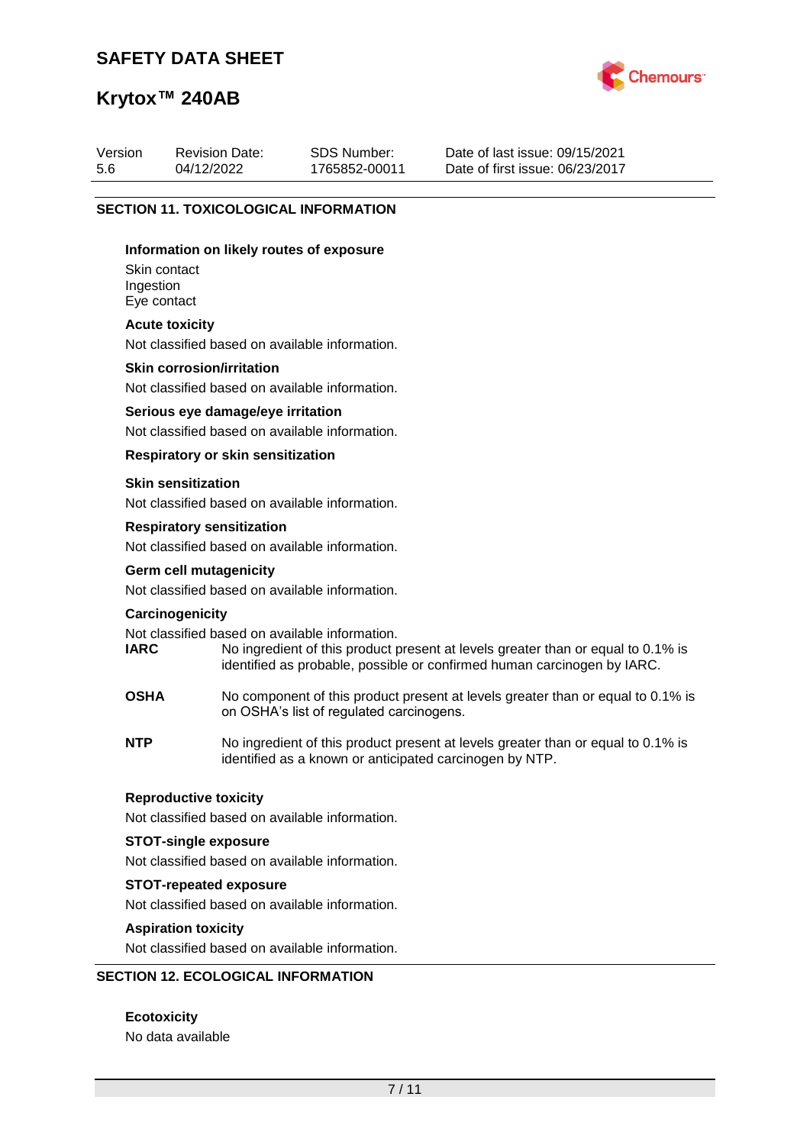

## **Krytox™ 240AB**

| <b>SECTION 11. TOXICOLOGICAL INFORMATION</b><br>Information on likely routes of exposure |                                                                   |  |  |  |  |  |
|------------------------------------------------------------------------------------------|-------------------------------------------------------------------|--|--|--|--|--|
| Version<br>5.6                                                                           | Date of last issue: 09/15/2021<br>Date of first issue: 06/23/2017 |  |  |  |  |  |

Skin contact Ingestion Eye contact

#### **Acute toxicity**

Not classified based on available information.

#### **Skin corrosion/irritation**

Not classified based on available information.

#### **Serious eye damage/eye irritation**

Not classified based on available information.

### **Respiratory or skin sensitization**

#### **Skin sensitization**

Not classified based on available information.

#### **Respiratory sensitization**

Not classified based on available information.

# **Germ cell mutagenicity**

Not classified based on available information.

#### **Carcinogenicity**

Not classified based on available information.<br> **IARC** No ingredient of this product to

- No ingredient of this product present at levels greater than or equal to 0.1% is identified as probable, possible or confirmed human carcinogen by IARC.
- **OSHA** No component of this product present at levels greater than or equal to 0.1% is on OSHA's list of regulated carcinogens.
- **NTP** No ingredient of this product present at levels greater than or equal to 0.1% is identified as a known or anticipated carcinogen by NTP.

#### **Reproductive toxicity**

Not classified based on available information.

### **STOT-single exposure**

Not classified based on available information.

#### **STOT-repeated exposure**

Not classified based on available information.

#### **Aspiration toxicity**

Not classified based on available information.

### **SECTION 12. ECOLOGICAL INFORMATION**

**Ecotoxicity** No data available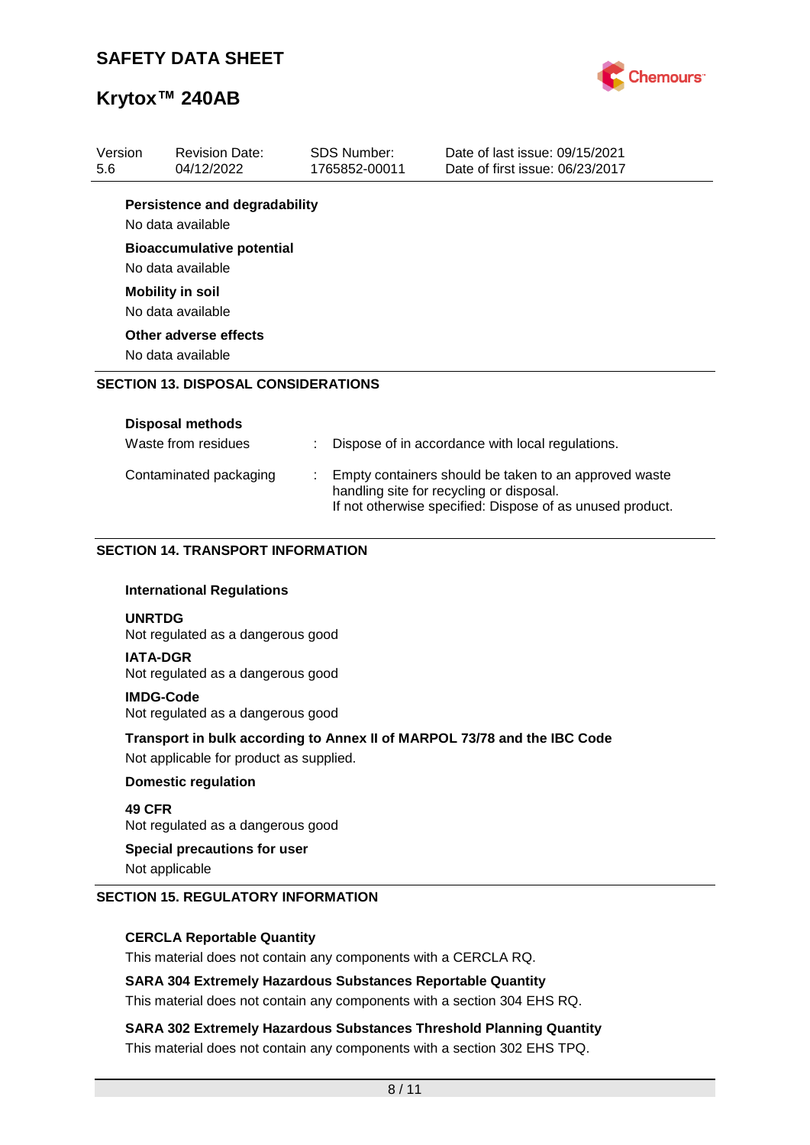

| 1765852-00011<br><b>Persistence and degradability</b><br>No data available<br><b>Bioaccumulative potential</b><br>No data available<br><b>Mobility in soil</b><br>No data available<br>Other adverse effects<br>No data available<br><b>SECTION 13. DISPOSAL CONSIDERATIONS</b><br><b>Disposal methods</b><br>Waste from residues<br>Dispose of in accordance with local regulations.<br>Empty containers should be taken to an approved waste<br>Contaminated packaging<br>handling site for recycling or disposal.<br>If not otherwise specified: Dispose of as unused product.<br><b>SECTION 14. TRANSPORT INFORMATION</b><br><b>International Regulations</b><br><b>UNRTDG</b><br>Not regulated as a dangerous good<br><b>IATA-DGR</b><br>Not regulated as a dangerous good<br><b>IMDG-Code</b><br>Not regulated as a dangerous good<br>Transport in bulk according to Annex II of MARPOL 73/78 and the IBC Code<br>Not applicable for product as supplied.<br><b>Domestic regulation</b><br>49 CFR<br>Not regulated as a dangerous good<br><b>Special precautions for user</b><br>Not applicable | Version |  | <b>Revision Date:</b> |  | <b>SDS Number:</b> | Date of last issue: 09/15/2021  |  |  |
|-------------------------------------------------------------------------------------------------------------------------------------------------------------------------------------------------------------------------------------------------------------------------------------------------------------------------------------------------------------------------------------------------------------------------------------------------------------------------------------------------------------------------------------------------------------------------------------------------------------------------------------------------------------------------------------------------------------------------------------------------------------------------------------------------------------------------------------------------------------------------------------------------------------------------------------------------------------------------------------------------------------------------------------------------------------------------------------------------------|---------|--|-----------------------|--|--------------------|---------------------------------|--|--|
|                                                                                                                                                                                                                                                                                                                                                                                                                                                                                                                                                                                                                                                                                                                                                                                                                                                                                                                                                                                                                                                                                                       | 5.6     |  | 04/12/2022            |  |                    | Date of first issue: 06/23/2017 |  |  |
|                                                                                                                                                                                                                                                                                                                                                                                                                                                                                                                                                                                                                                                                                                                                                                                                                                                                                                                                                                                                                                                                                                       |         |  |                       |  |                    |                                 |  |  |
|                                                                                                                                                                                                                                                                                                                                                                                                                                                                                                                                                                                                                                                                                                                                                                                                                                                                                                                                                                                                                                                                                                       |         |  |                       |  |                    |                                 |  |  |
|                                                                                                                                                                                                                                                                                                                                                                                                                                                                                                                                                                                                                                                                                                                                                                                                                                                                                                                                                                                                                                                                                                       |         |  |                       |  |                    |                                 |  |  |
|                                                                                                                                                                                                                                                                                                                                                                                                                                                                                                                                                                                                                                                                                                                                                                                                                                                                                                                                                                                                                                                                                                       |         |  |                       |  |                    |                                 |  |  |
|                                                                                                                                                                                                                                                                                                                                                                                                                                                                                                                                                                                                                                                                                                                                                                                                                                                                                                                                                                                                                                                                                                       |         |  |                       |  |                    |                                 |  |  |
|                                                                                                                                                                                                                                                                                                                                                                                                                                                                                                                                                                                                                                                                                                                                                                                                                                                                                                                                                                                                                                                                                                       |         |  |                       |  |                    |                                 |  |  |
|                                                                                                                                                                                                                                                                                                                                                                                                                                                                                                                                                                                                                                                                                                                                                                                                                                                                                                                                                                                                                                                                                                       |         |  |                       |  |                    |                                 |  |  |
|                                                                                                                                                                                                                                                                                                                                                                                                                                                                                                                                                                                                                                                                                                                                                                                                                                                                                                                                                                                                                                                                                                       |         |  |                       |  |                    |                                 |  |  |
|                                                                                                                                                                                                                                                                                                                                                                                                                                                                                                                                                                                                                                                                                                                                                                                                                                                                                                                                                                                                                                                                                                       |         |  |                       |  |                    |                                 |  |  |
|                                                                                                                                                                                                                                                                                                                                                                                                                                                                                                                                                                                                                                                                                                                                                                                                                                                                                                                                                                                                                                                                                                       |         |  |                       |  |                    |                                 |  |  |
|                                                                                                                                                                                                                                                                                                                                                                                                                                                                                                                                                                                                                                                                                                                                                                                                                                                                                                                                                                                                                                                                                                       |         |  |                       |  |                    |                                 |  |  |
|                                                                                                                                                                                                                                                                                                                                                                                                                                                                                                                                                                                                                                                                                                                                                                                                                                                                                                                                                                                                                                                                                                       |         |  |                       |  |                    |                                 |  |  |
|                                                                                                                                                                                                                                                                                                                                                                                                                                                                                                                                                                                                                                                                                                                                                                                                                                                                                                                                                                                                                                                                                                       |         |  |                       |  |                    |                                 |  |  |
|                                                                                                                                                                                                                                                                                                                                                                                                                                                                                                                                                                                                                                                                                                                                                                                                                                                                                                                                                                                                                                                                                                       |         |  |                       |  |                    |                                 |  |  |
|                                                                                                                                                                                                                                                                                                                                                                                                                                                                                                                                                                                                                                                                                                                                                                                                                                                                                                                                                                                                                                                                                                       |         |  |                       |  |                    |                                 |  |  |
|                                                                                                                                                                                                                                                                                                                                                                                                                                                                                                                                                                                                                                                                                                                                                                                                                                                                                                                                                                                                                                                                                                       |         |  |                       |  |                    |                                 |  |  |
|                                                                                                                                                                                                                                                                                                                                                                                                                                                                                                                                                                                                                                                                                                                                                                                                                                                                                                                                                                                                                                                                                                       |         |  |                       |  |                    |                                 |  |  |
|                                                                                                                                                                                                                                                                                                                                                                                                                                                                                                                                                                                                                                                                                                                                                                                                                                                                                                                                                                                                                                                                                                       |         |  |                       |  |                    |                                 |  |  |
|                                                                                                                                                                                                                                                                                                                                                                                                                                                                                                                                                                                                                                                                                                                                                                                                                                                                                                                                                                                                                                                                                                       |         |  |                       |  |                    |                                 |  |  |
|                                                                                                                                                                                                                                                                                                                                                                                                                                                                                                                                                                                                                                                                                                                                                                                                                                                                                                                                                                                                                                                                                                       |         |  |                       |  |                    |                                 |  |  |
|                                                                                                                                                                                                                                                                                                                                                                                                                                                                                                                                                                                                                                                                                                                                                                                                                                                                                                                                                                                                                                                                                                       |         |  |                       |  |                    |                                 |  |  |
|                                                                                                                                                                                                                                                                                                                                                                                                                                                                                                                                                                                                                                                                                                                                                                                                                                                                                                                                                                                                                                                                                                       |         |  |                       |  |                    |                                 |  |  |
|                                                                                                                                                                                                                                                                                                                                                                                                                                                                                                                                                                                                                                                                                                                                                                                                                                                                                                                                                                                                                                                                                                       |         |  |                       |  |                    |                                 |  |  |
|                                                                                                                                                                                                                                                                                                                                                                                                                                                                                                                                                                                                                                                                                                                                                                                                                                                                                                                                                                                                                                                                                                       |         |  |                       |  |                    |                                 |  |  |
|                                                                                                                                                                                                                                                                                                                                                                                                                                                                                                                                                                                                                                                                                                                                                                                                                                                                                                                                                                                                                                                                                                       |         |  |                       |  |                    |                                 |  |  |

### **SECTION 15. REGULATORY INFORMATION**

### **CERCLA Reportable Quantity**

This material does not contain any components with a CERCLA RQ.

### **SARA 304 Extremely Hazardous Substances Reportable Quantity**

This material does not contain any components with a section 304 EHS RQ.

**SARA 302 Extremely Hazardous Substances Threshold Planning Quantity** This material does not contain any components with a section 302 EHS TPQ.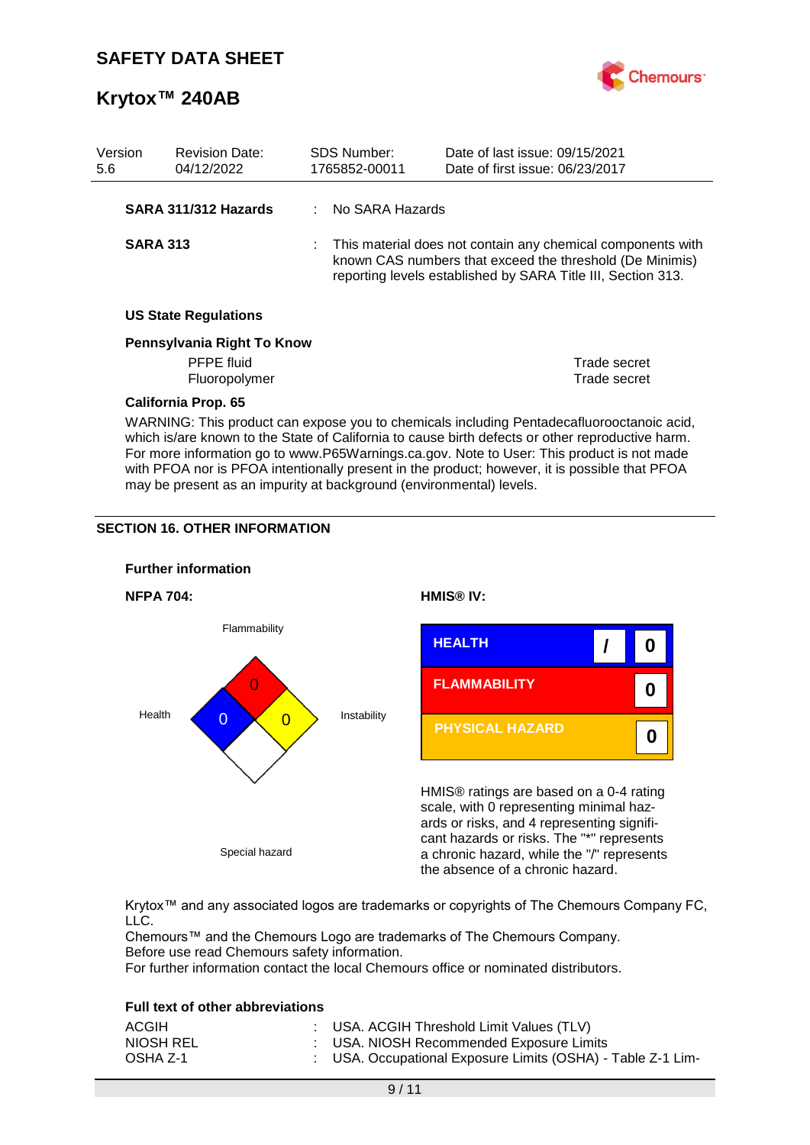

| Version<br>5.6 |                                                                                                                                                                                                                                                                                            | <b>Revision Date:</b><br>04/12/2022 |  | <b>SDS Number:</b><br>1765852-00011 | Date of last issue: 09/15/2021<br>Date of first issue: 06/23/2017                                                                                                                         |
|----------------|--------------------------------------------------------------------------------------------------------------------------------------------------------------------------------------------------------------------------------------------------------------------------------------------|-------------------------------------|--|-------------------------------------|-------------------------------------------------------------------------------------------------------------------------------------------------------------------------------------------|
|                |                                                                                                                                                                                                                                                                                            | SARA 311/312 Hazards                |  | No SARA Hazards                     |                                                                                                                                                                                           |
|                | <b>SARA 313</b>                                                                                                                                                                                                                                                                            |                                     |  |                                     | : This material does not contain any chemical components with<br>known CAS numbers that exceed the threshold (De Minimis)<br>reporting levels established by SARA Title III, Section 313. |
|                |                                                                                                                                                                                                                                                                                            | <b>US State Regulations</b>         |  |                                     |                                                                                                                                                                                           |
|                |                                                                                                                                                                                                                                                                                            | Pennsylvania Right To Know          |  |                                     |                                                                                                                                                                                           |
|                |                                                                                                                                                                                                                                                                                            | PFPE fluid                          |  |                                     | Trade secret                                                                                                                                                                              |
|                |                                                                                                                                                                                                                                                                                            | Fluoropolymer                       |  |                                     | Trade secret                                                                                                                                                                              |
|                |                                                                                                                                                                                                                                                                                            | <b>California Prop. 65</b>          |  |                                     |                                                                                                                                                                                           |
|                | WARNING: This product can expose you to chemicals including Pentadecafluorooctanoic acid,<br>which is/are known to the State of California to cause birth defects or other reproductive harm.<br>For more information go to www.P65Warnings.ca.gov. Note to User: This product is not made |                                     |  |                                     |                                                                                                                                                                                           |

with PFOA nor is PFOA intentionally present in the product; however, it is possible that PFOA

may be present as an impurity at background (environmental) levels.

### **SECTION 16. OTHER INFORMATION**



Krytox™ and any associated logos are trademarks or copyrights of The Chemours Company FC, LLC.

Chemours™ and the Chemours Logo are trademarks of The Chemours Company. Before use read Chemours safety information.

For further information contact the local Chemours office or nominated distributors.

### **Full text of other abbreviations**

| ACGIH     | : USA. ACGIH Threshold Limit Values (TLV)                   |
|-----------|-------------------------------------------------------------|
| NIOSH REL | : USA. NIOSH Recommended Exposure Limits                    |
| OSHA Z-1  | : USA. Occupational Exposure Limits (OSHA) - Table Z-1 Lim- |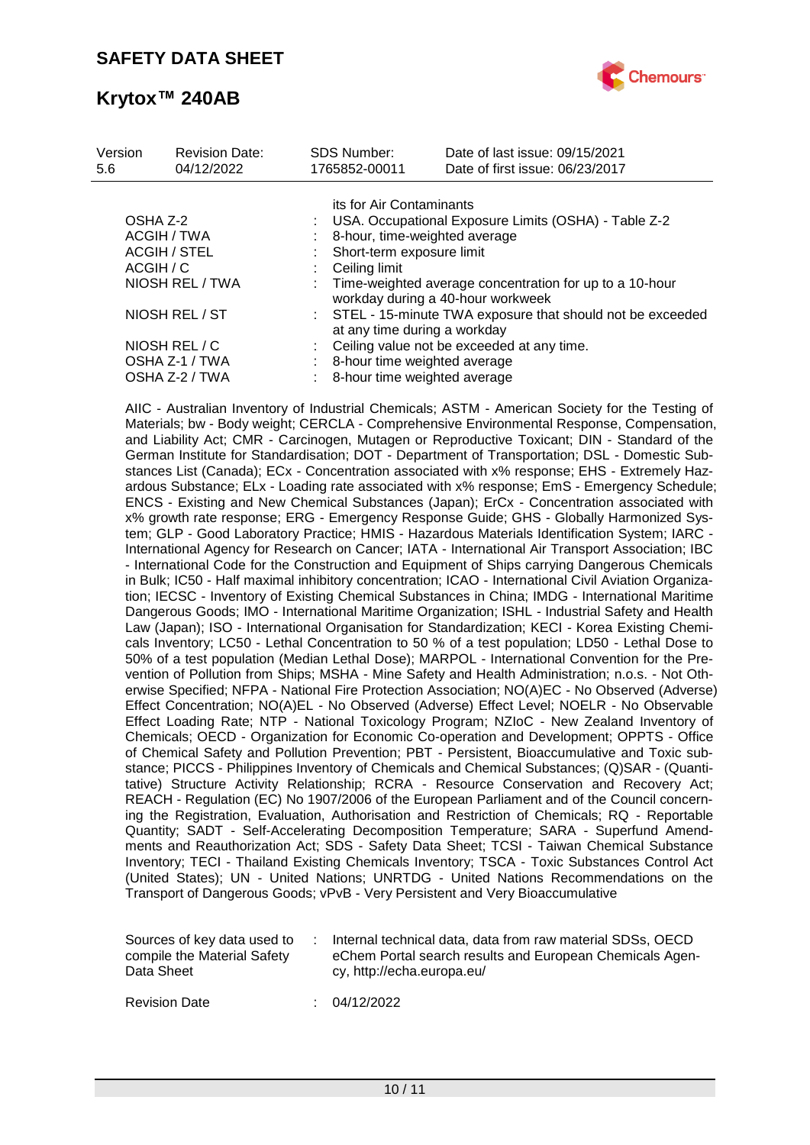

| Version<br>5.6 | <b>Revision Date:</b><br>04/12/2022 | <b>SDS Number:</b><br>1765852-00011 | Date of last issue: 09/15/2021<br>Date of first issue: 06/23/2017                              |
|----------------|-------------------------------------|-------------------------------------|------------------------------------------------------------------------------------------------|
|                |                                     |                                     | its for Air Contaminants                                                                       |
| OSHA Z-2       |                                     |                                     | USA. Occupational Exposure Limits (OSHA) - Table Z-2                                           |
|                | ACGIH / TWA                         |                                     | 8-hour, time-weighted average                                                                  |
|                | ACGIH / STEL                        |                                     | Short-term exposure limit                                                                      |
| ACGIH / C      |                                     | Ceiling limit                       |                                                                                                |
|                | NIOSH REL / TWA                     |                                     | : Time-weighted average concentration for up to a 10-hour<br>workday during a 40-hour workweek |
|                | NIOSH REL / ST                      |                                     | : STEL - 15-minute TWA exposure that should not be exceeded<br>at any time during a workday    |
|                | NIOSH REL / C                       |                                     | Ceiling value not be exceeded at any time.                                                     |
|                | OSHA Z-1 / TWA                      |                                     | 8-hour time weighted average                                                                   |
|                | OSHA Z-2 / TWA                      |                                     | 8-hour time weighted average                                                                   |

AIIC - Australian Inventory of Industrial Chemicals; ASTM - American Society for the Testing of Materials; bw - Body weight; CERCLA - Comprehensive Environmental Response, Compensation, and Liability Act; CMR - Carcinogen, Mutagen or Reproductive Toxicant; DIN - Standard of the German Institute for Standardisation; DOT - Department of Transportation; DSL - Domestic Substances List (Canada); ECx - Concentration associated with x% response; EHS - Extremely Hazardous Substance; ELx - Loading rate associated with x% response; EmS - Emergency Schedule; ENCS - Existing and New Chemical Substances (Japan); ErCx - Concentration associated with x% growth rate response; ERG - Emergency Response Guide; GHS - Globally Harmonized System; GLP - Good Laboratory Practice; HMIS - Hazardous Materials Identification System; IARC - International Agency for Research on Cancer; IATA - International Air Transport Association; IBC - International Code for the Construction and Equipment of Ships carrying Dangerous Chemicals in Bulk; IC50 - Half maximal inhibitory concentration; ICAO - International Civil Aviation Organization; IECSC - Inventory of Existing Chemical Substances in China; IMDG - International Maritime Dangerous Goods; IMO - International Maritime Organization; ISHL - Industrial Safety and Health Law (Japan); ISO - International Organisation for Standardization; KECI - Korea Existing Chemicals Inventory; LC50 - Lethal Concentration to 50 % of a test population; LD50 - Lethal Dose to 50% of a test population (Median Lethal Dose); MARPOL - International Convention for the Prevention of Pollution from Ships; MSHA - Mine Safety and Health Administration; n.o.s. - Not Otherwise Specified; NFPA - National Fire Protection Association; NO(A)EC - No Observed (Adverse) Effect Concentration; NO(A)EL - No Observed (Adverse) Effect Level; NOELR - No Observable Effect Loading Rate; NTP - National Toxicology Program; NZIoC - New Zealand Inventory of Chemicals; OECD - Organization for Economic Co-operation and Development; OPPTS - Office of Chemical Safety and Pollution Prevention; PBT - Persistent, Bioaccumulative and Toxic substance; PICCS - Philippines Inventory of Chemicals and Chemical Substances; (Q)SAR - (Quantitative) Structure Activity Relationship; RCRA - Resource Conservation and Recovery Act; REACH - Regulation (EC) No 1907/2006 of the European Parliament and of the Council concerning the Registration, Evaluation, Authorisation and Restriction of Chemicals; RQ - Reportable Quantity; SADT - Self-Accelerating Decomposition Temperature; SARA - Superfund Amendments and Reauthorization Act; SDS - Safety Data Sheet; TCSI - Taiwan Chemical Substance Inventory; TECI - Thailand Existing Chemicals Inventory; TSCA - Toxic Substances Control Act (United States); UN - United Nations; UNRTDG - United Nations Recommendations on the Transport of Dangerous Goods; vPvB - Very Persistent and Very Bioaccumulative

| Sources of key data used to | Internal technical data, data from raw material SDSs, OECD |
|-----------------------------|------------------------------------------------------------|
| compile the Material Safety | eChem Portal search results and European Chemicals Agen-   |
| Data Sheet                  | cy, http://echa.europa.eu/                                 |

Revision Date : 04/12/2022